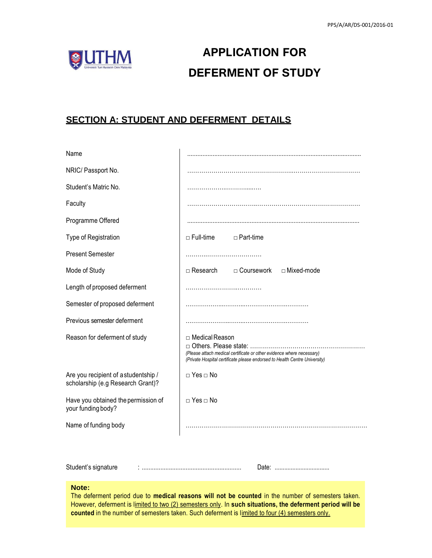

# **APPLICATION FOR DEFERMENT OF STUDY**

## **SECTION A: STUDENT AND DEFERMENT DETAILS**

| Name                                                                      |                                                                                                                                                                         |
|---------------------------------------------------------------------------|-------------------------------------------------------------------------------------------------------------------------------------------------------------------------|
| NRIC/ Passport No.                                                        |                                                                                                                                                                         |
| Student's Matric No.                                                      |                                                                                                                                                                         |
| Faculty                                                                   |                                                                                                                                                                         |
| Programme Offered                                                         |                                                                                                                                                                         |
| Type of Registration                                                      | $\Box$ Full-time<br>$\Box$ Part-time                                                                                                                                    |
| <b>Present Semester</b>                                                   |                                                                                                                                                                         |
| Mode of Study                                                             | $\Box$ Research<br>□ Coursework<br>□ Mixed-mode                                                                                                                         |
| Length of proposed deferment                                              |                                                                                                                                                                         |
| Semester of proposed deferment                                            |                                                                                                                                                                         |
| Previous semester deferment                                               |                                                                                                                                                                         |
| Reason for deferment of study                                             | □ Medical Reason<br>(Please attach medical certificate or other evidence where necessary)<br>(Private Hospital certificate please endorsed to Health Centre University) |
| Are you recipient of a studentship /<br>scholarship (e.g Research Grant)? | $\Box$ Yes $\Box$ No                                                                                                                                                    |
| Have you obtained the permission of<br>your funding body?                 | $\Box$ Yes $\Box$ No                                                                                                                                                    |
| Name of funding body                                                      |                                                                                                                                                                         |
|                                                                           |                                                                                                                                                                         |
| Student's signature                                                       |                                                                                                                                                                         |

#### **Note:**

The deferment period due to **medical reasons will not be counted** in the number of semesters taken. However, deferment is limited to two (2) semesters only. In **such situations, the deferment period will be**  counted in the number of semesters taken. Such deferment is limited to four (4) semesters only.